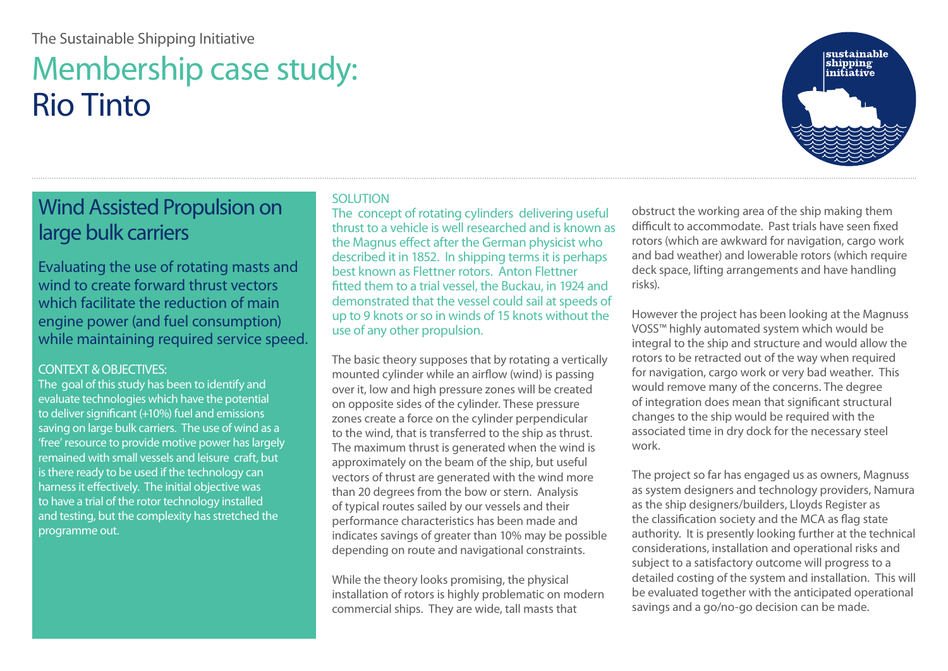## [The Sustainable Shipping Initiative](http://ssi2040.org)

# Membership case study: [Rio Tinto](http://marine.riotinto.com)



# Wind Assisted Propulsion on large bulk carriers

Evaluating the use of rotating masts and wind to create forward thrust vectors which facilitate the reduction of main engine power (and fuel consumption) while maintaining required service speed.

### CONTEXT & OBJECTIVES:

The goal of this study has been to identify and evaluate technologies which have the potential to deliver significant (+10%) fuel and emissions saving on large bulk carriers. The use of wind as a 'free' resource to provide motive power has largely remained with small vessels and leisure craft, but is there ready to be used if the technology can harness it effectively. The initial objective was to have a trial of the rotor technology installed and testing, but the complexity has stretched the programme out.

#### SOLUTION

The concept of rotating cylinders delivering useful thrust to a vehicle is well researched and is known as the Magnus effect after the German physicist who described it in 1852. In shipping terms it is perhaps best known as Flettner rotors. Anton Flettner fitted them to a trial vessel, the Buckau, in 1924 and demonstrated that the vessel could sail at speeds of up to 9 knots or so in winds of 15 knots without the use of any other propulsion.

The basic theory supposes that by rotating a vertically mounted cylinder while an airflow (wind) is passing over it, low and high pressure zones will be created on opposite sides of the cylinder. These pressure zones create a force on the cylinder perpendicular to the wind, that is transferred to the ship as thrust. The maximum thrust is generated when the wind is approximately on the beam of the ship, but useful vectors of thrust are generated with the wind more than 20 degrees from the bow or stern. Analysis of typical routes sailed by our vessels and their performance characteristics has been made and indicates savings of greater than 10% may be possible depending on route and navigational constraints.

While the theory looks promising, the physical installation of rotors is highly problematic on modern commercial ships. They are wide, tall masts that

obstruct the working area of the ship making them difficult to accommodate. Past trials have seen fixed rotors (which are awkward for navigation, cargo work and bad weather) and lowerable rotors (which require deck space, lifting arrangements and have handling risks).

However the project has been looking at the Magnuss VOSS™ highly automated system which would be integral to the ship and structure and would allow the rotors to be retracted out of the way when required for navigation, cargo work or very bad weather. This would remove many of the concerns. The degree of integration does mean that significant structural changes to the ship would be required with the associated time in dry dock for the necessary steel work.

The project so far has engaged us as owners, Magnuss as system designers and technology providers, Namura as the ship designers/builders, Lloyds Register as the classification society and the MCA as flag state authority. It is presently looking further at the technical considerations, installation and operational risks and subject to a satisfactory outcome will progress to a detailed costing of the system and installation. This will be evaluated together with the anticipated operational savings and a go/no-go decision can be made.